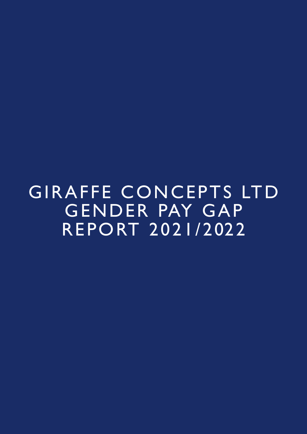GIRAFFE CONCEPTS LTD GENDER PAY GAP REPORT 2021/2022